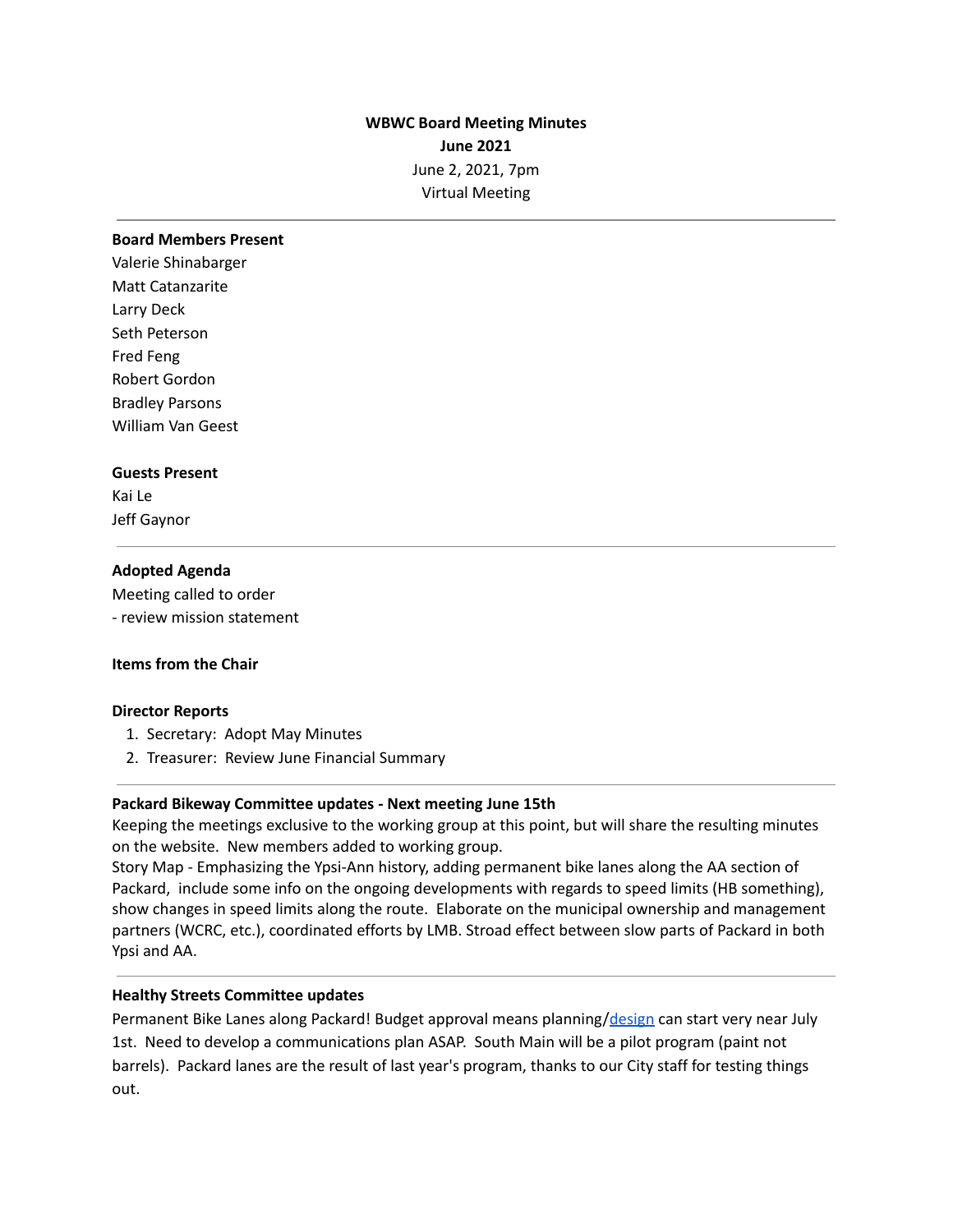# **WBWC Board Meeting Minutes June 2021** June 2, 2021, 7pm Virtual Meeting

#### **Board Members Present**

Valerie Shinabarger Matt Catanzarite Larry Deck Seth Peterson Fred Feng Robert Gordon Bradley Parsons William Van Geest

#### **Guests Present**

Kai Le Jeff Gaynor

# **Adopted Agenda**

Meeting called to order - review mission statement

# **Items from the Chair**

# **Director Reports**

- 1. Secretary: Adopt May Minutes
- 2. Treasurer: Review June Financial Summary

# **Packard Bikeway Committee updates - Next meeting June 15th**

Keeping the meetings exclusive to the working group at this point, but will share the resulting minutes on the website. New members added to working group.

Story Map - Emphasizing the Ypsi-Ann history, adding permanent bike lanes along the AA section of Packard, include some info on the ongoing developments with regards to speed limits (HB something), show changes in speed limits along the route. Elaborate on the municipal ownership and management partners (WCRC, etc.), coordinated efforts by LMB. Stroad effect between slow parts of Packard in both Ypsi and AA.

#### **Healthy Streets Committee updates**

Permanent Bike Lanes along Packard! Budget approval means planning/[design](http://a2gov.legistar.com/View.ashx?M=F&ID=9320964&GUID=1EFE9BBC-3DF6-425C-871D-738B4AD75C8B) can start very near July 1st. Need to develop a communications plan ASAP. South Main will be a pilot program (paint not barrels). Packard lanes are the result of last year's program, thanks to our City staff for testing things out.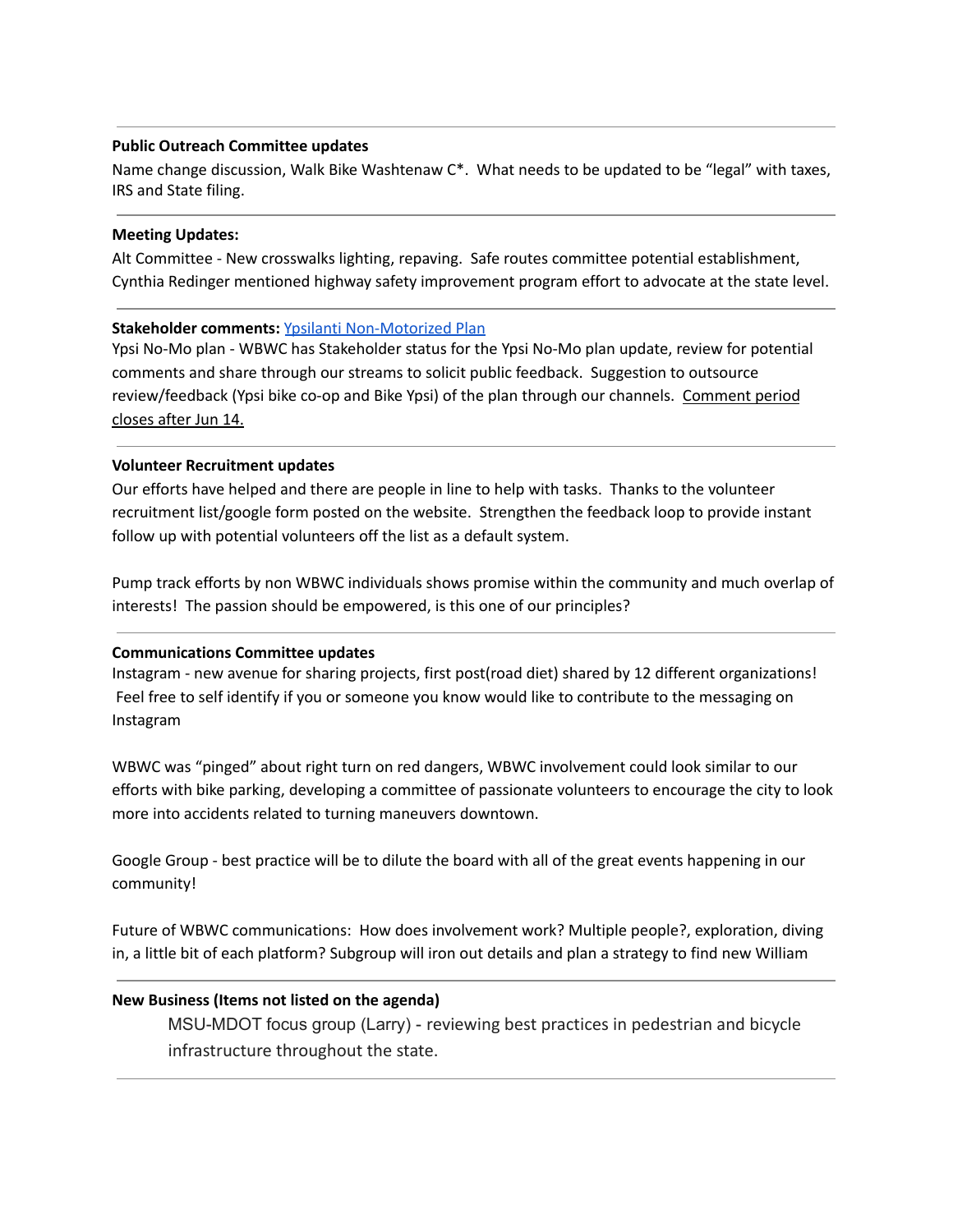# **Public Outreach Committee updates**

Name change discussion, Walk Bike Washtenaw C\*. What needs to be updated to be "legal" with taxes, IRS and State filing.

# **Meeting Updates:**

Alt Committee - New crosswalks lighting, repaving. Safe routes committee potential establishment, Cynthia Redinger mentioned highway safety improvement program effort to advocate at the state level.

# **Stakeholder comments:** Ypsilanti [Non-Motorized](https://cityofypsilanti.com/DocumentCenter/View/2748/2021-Non-Motorized-Transportation-Plan---May-13-2021-Draft) Plan

Ypsi No-Mo plan - WBWC has Stakeholder status for the Ypsi No-Mo plan update, review for potential comments and share through our streams to solicit public feedback. Suggestion to outsource review/feedback (Ypsi bike co-op and Bike Ypsi) of the plan through our channels. Comment period closes after Jun 14.

# **Volunteer Recruitment updates**

Our efforts have helped and there are people in line to help with tasks. Thanks to the volunteer recruitment list/google form posted on the website. Strengthen the feedback loop to provide instant follow up with potential volunteers off the list as a default system.

Pump track efforts by non WBWC individuals shows promise within the community and much overlap of interests! The passion should be empowered, is this one of our principles?

# **Communications Committee updates**

Instagram - new avenue for sharing projects, first post(road diet) shared by 12 different organizations! Feel free to self identify if you or someone you know would like to contribute to the messaging on Instagram

WBWC was "pinged" about right turn on red dangers, WBWC involvement could look similar to our efforts with bike parking, developing a committee of passionate volunteers to encourage the city to look more into accidents related to turning maneuvers downtown.

Google Group - best practice will be to dilute the board with all of the great events happening in our community!

Future of WBWC communications: How does involvement work? Multiple people?, exploration, diving in, a little bit of each platform? Subgroup will iron out details and plan a strategy to find new William

# **New Business (Items not listed on the agenda)**

MSU-MDOT focus group (Larry) - reviewing best practices in pedestrian and bicycle infrastructure throughout the state.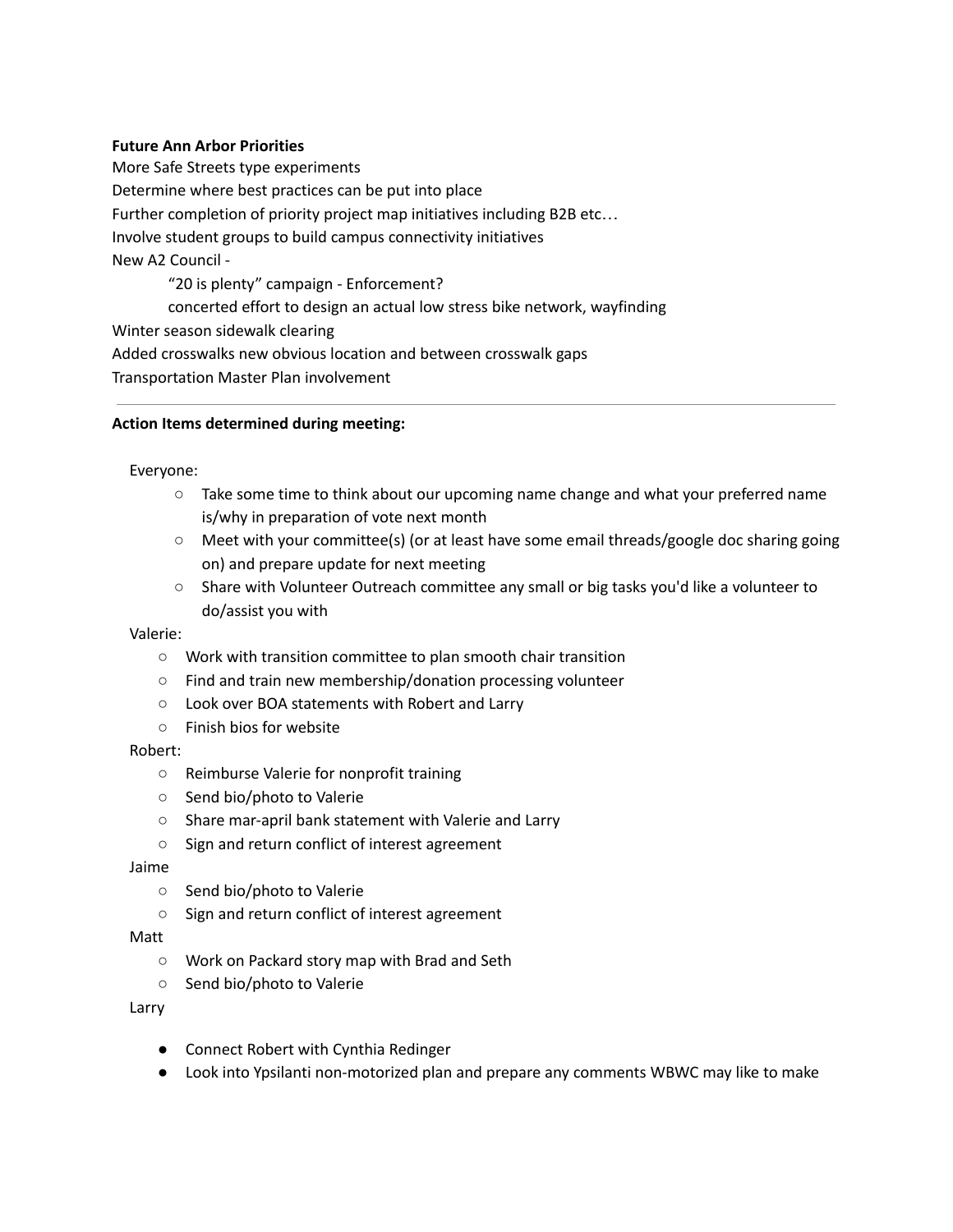# **Future Ann Arbor Priorities**

More Safe Streets type experiments Determine where best practices can be put into place Further completion of priority project map initiatives including B2B etc… Involve student groups to build campus connectivity initiatives New A2 Council - "20 is plenty" campaign - Enforcement? concerted effort to design an actual low stress bike network, wayfinding Winter season sidewalk clearing Added crosswalks new obvious location and between crosswalk gaps Transportation Master Plan involvement

# **Action Items determined during meeting:**

# Everyone:

- Take some time to think about our upcoming name change and what your preferred name is/why in preparation of vote next month
- Meet with your committee(s) (or at least have some email threads/google doc sharing going on) and prepare update for next meeting
- Share with Volunteer Outreach committee any small or big tasks you'd like a volunteer to do/assist you with

# Valerie:

- Work with transition committee to plan smooth chair transition
- Find and train new membership/donation processing volunteer
- Look over BOA statements with Robert and Larry
- Finish bios for website

# Robert:

- Reimburse Valerie for nonprofit training
- Send bio/photo to Valerie
- Share mar-april bank statement with Valerie and Larry
- Sign and return conflict of interest agreement

# Jaime

- Send bio/photo to Valerie
- Sign and return conflict of interest agreement

# Matt

- Work on Packard story map with Brad and Seth
- Send bio/photo to Valerie

# Larry

- Connect Robert with Cynthia Redinger
- Look into Ypsilanti non-motorized plan and prepare any comments WBWC may like to make